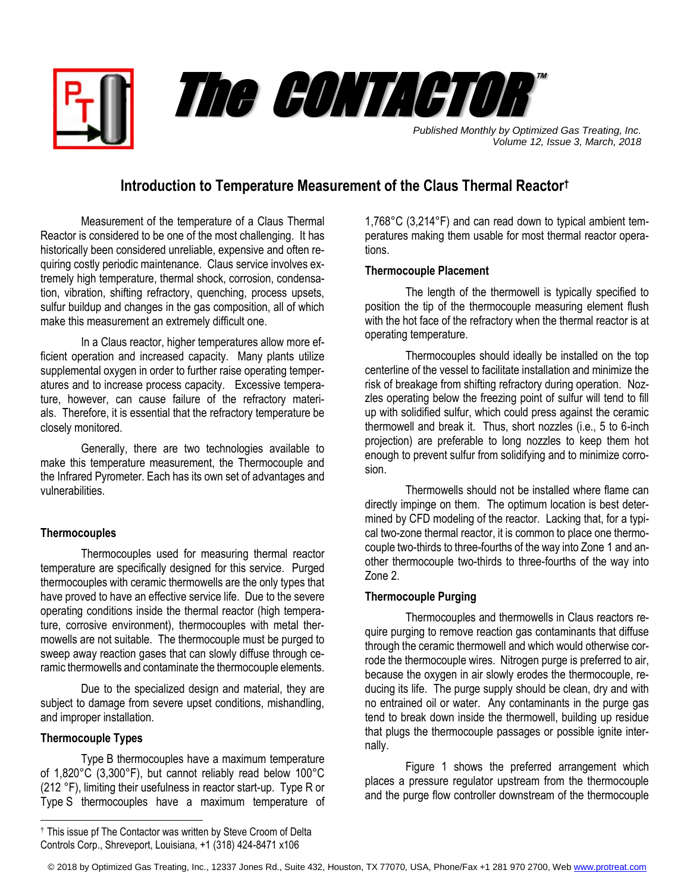

*Published Monthly by Optimized Gas Treating, Inc. Volume 12, Issue 3, March, 2018*

# **Introduction to Temperature Measurement of the Claus Thermal Reactor†**

Measurement of the temperature of a Claus Thermal Reactor is considered to be one of the most challenging. It has historically been considered unreliable, expensive and often requiring costly periodic maintenance. Claus service involves extremely high temperature, thermal shock, corrosion, condensation, vibration, shifting refractory, quenching, process upsets, sulfur buildup and changes in the gas composition, all of which make this measurement an extremely difficult one.

In a Claus reactor, higher temperatures allow more efficient operation and increased capacity. Many plants utilize supplemental oxygen in order to further raise operating temperatures and to increase process capacity. Excessive temperature, however, can cause failure of the refractory materials. Therefore, it is essential that the refractory temperature be closely monitored.

Generally, there are two technologies available to make this temperature measurement, the Thermocouple and the Infrared Pyrometer. Each has its own set of advantages and vulnerabilities.

## **Thermocouples**

Thermocouples used for measuring thermal reactor temperature are specifically designed for this service. Purged thermocouples with ceramic thermowells are the only types that have proved to have an effective service life. Due to the severe operating conditions inside the thermal reactor (high temperature, corrosive environment), thermocouples with metal thermowells are not suitable. The thermocouple must be purged to sweep away reaction gases that can slowly diffuse through ceramic thermowells and contaminate the thermocouple elements.

Due to the specialized design and material, they are subject to damage from severe upset conditions, mishandling, and improper installation.

## **Thermocouple Types**

 $\overline{a}$ 

Type B thermocouples have a maximum temperature of 1,820°C (3,300°F), but cannot reliably read below 100°C (212 °F), limiting their usefulness in reactor start-up. Type R or Type S thermocouples have a maximum temperature of 1,768°C (3,214°F) and can read down to typical ambient temperatures making them usable for most thermal reactor operations.

## **Thermocouple Placement**

The length of the thermowell is typically specified to position the tip of the thermocouple measuring element flush with the hot face of the refractory when the thermal reactor is at operating temperature.

Thermocouples should ideally be installed on the top centerline of the vessel to facilitate installation and minimize the risk of breakage from shifting refractory during operation. Nozzles operating below the freezing point of sulfur will tend to fill up with solidified sulfur, which could press against the ceramic thermowell and break it. Thus, short nozzles (i.e., 5 to 6-inch projection) are preferable to long nozzles to keep them hot enough to prevent sulfur from solidifying and to minimize corrosion.

Thermowells should not be installed where flame can directly impinge on them. The optimum location is best determined by CFD modeling of the reactor. Lacking that, for a typical two-zone thermal reactor, it is common to place one thermocouple two-thirds to three-fourths of the way into Zone 1 and another thermocouple two-thirds to three-fourths of the way into Zone 2.

## **Thermocouple Purging**

Thermocouples and thermowells in Claus reactors require purging to remove reaction gas contaminants that diffuse through the ceramic thermowell and which would otherwise corrode the thermocouple wires. Nitrogen purge is preferred to air, because the oxygen in air slowly erodes the thermocouple, reducing its life. The purge supply should be clean, dry and with no entrained oil or water. Any contaminants in the purge gas tend to break down inside the thermowell, building up residue that plugs the thermocouple passages or possible ignite internally.

Figure 1 shows the preferred arrangement which places a pressure regulator upstream from the thermocouple and the purge flow controller downstream of the thermocouple

<sup>†</sup> This issue pf The Contactor was written by Steve Croom of Delta Controls Corp., Shreveport, Louisiana, +1 (318) 424-8471 x106

<sup>© 2018</sup> by Optimized Gas Treating, Inc., 12337 Jones Rd., Suite 432, Houston, TX 77070, USA, Phone/Fax +1 281 970 2700, We[b www.protreat.com](http://www.protreat.com/)